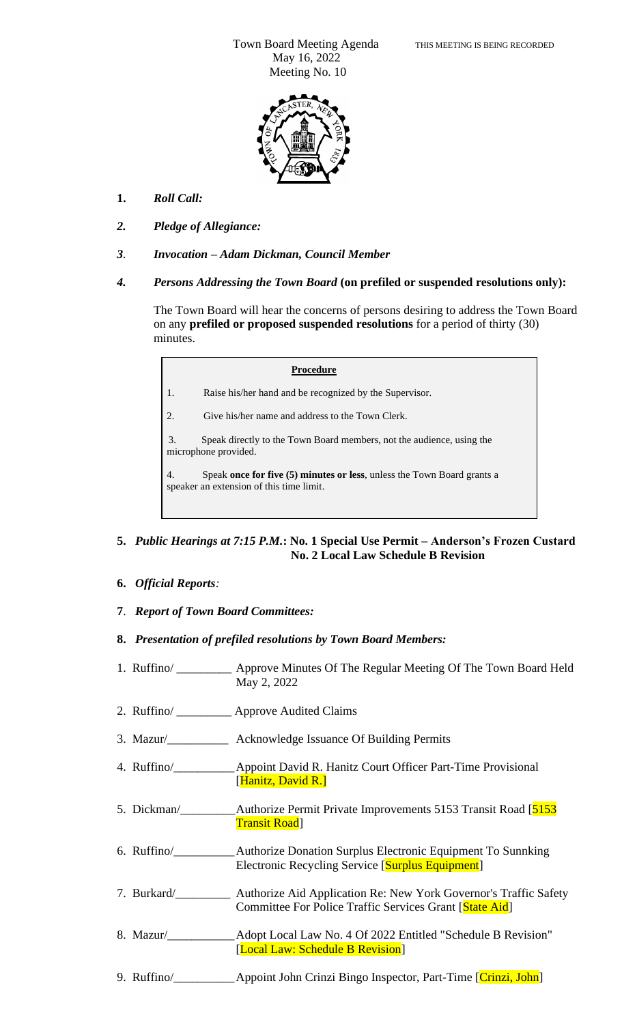Town Board Meeting Agenda THIS MEETING IS BEING RECORDED May 16, 2022 Meeting No. 10



- **1.** *Roll Call:*
- *2. Pledge of Allegiance:*
- *3. Invocation – Adam Dickman, Council Member*
- *4. Persons Addressing the Town Board* **(on prefiled or suspended resolutions only):**

The Town Board will hear the concerns of persons desiring to address the Town Board on any **prefiled or proposed suspended resolutions** for a period of thirty (30) minutes.

#### **Procedure**

1. Raise his/her hand and be recognized by the Supervisor.

2. Give his/her name and address to the Town Clerk.

3. 3. Speak directly to the Town Board members, not the audience, using the microphone provided.

4. Speak **once for five (5) minutes or less**, unless the Town Board grants a speaker an extension of this time limit.

## **5.** *Public Hearings at 7:15 P.M.***: No. 1 Special Use Permit – Anderson's Frozen Custard No. 2 Local Law Schedule B Revision**

**6.** *Official Reports:*

5.

- **7**. *Report of Town Board Committees:*
- **8.** *Presentation of prefiled resolutions by Town Board Members:*
- 1. Ruffino/ \_\_\_\_\_\_\_\_\_ Approve Minutes Of The Regular Meeting Of The Town Board Held May 2, 2022
- 2. Ruffino/ \_\_\_\_\_\_\_\_\_ Approve Audited Claims
- 3. Mazur/\_\_\_\_\_\_\_\_\_\_ Acknowledge Issuance Of Building Permits
- 4. Ruffino/\_\_\_\_\_\_\_\_\_\_Appoint David R. Hanitz Court Officer Part-Time Provisional [Hanitz, David R.]
- 5. Dickman/\_\_\_\_\_\_\_\_\_Authorize Permit Private Improvements 5153 Transit Road [5153 Transit Road]
- 6. Ruffino/\_\_\_\_\_\_\_\_\_\_Authorize Donation Surplus Electronic Equipment To Sunnking Electronic Recycling Service [Surplus Equipment]
- 7. Burkard/\_\_\_\_\_\_\_\_\_ Authorize Aid Application Re: New York Governor's Traffic Safety Committee For Police Traffic Services Grant [State Aid]
- 8. Mazur/\_\_\_\_\_\_\_\_\_\_\_Adopt Local Law No. 4 Of 2022 Entitled "Schedule B Revision" [Local Law: Schedule B Revision]
- 9. Ruffino/\_\_\_\_\_\_\_\_\_\_\_\_\_\_\_Appoint John Crinzi Bingo Inspector, Part-Time [Crinzi, John]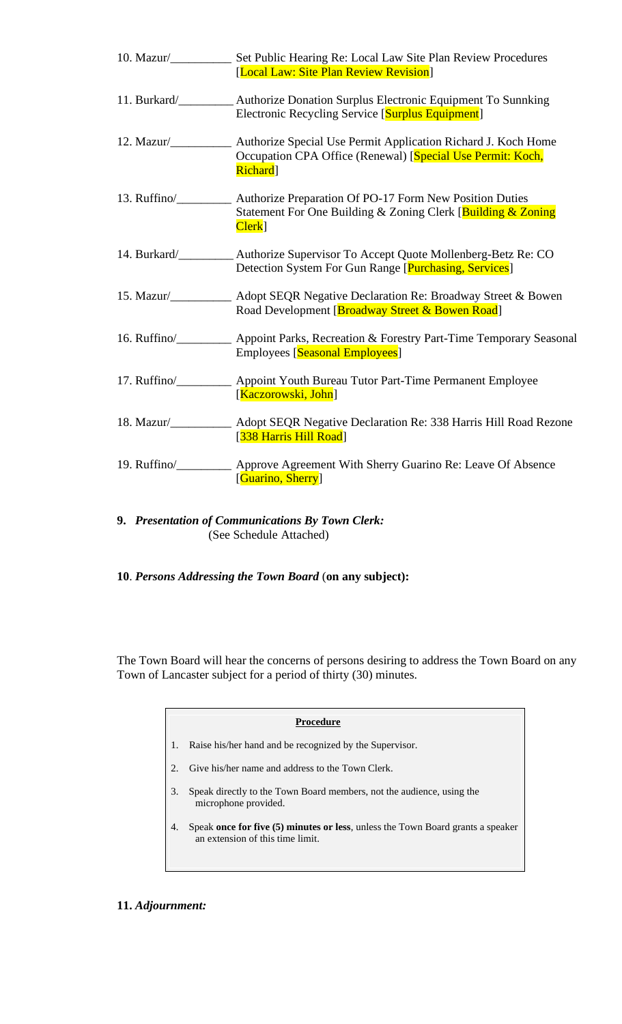|                    | 10. Mazur/ <b>Set Public Hearing Re: Local Law Site Plan Review Procedures</b><br>[Local Law: Site Plan Review Revision]                                                                                                                                                               |
|--------------------|----------------------------------------------------------------------------------------------------------------------------------------------------------------------------------------------------------------------------------------------------------------------------------------|
| 11. Burkard/       | Authorize Donation Surplus Electronic Equipment To Sunnking<br>Electronic Recycling Service [Surplus Equipment]                                                                                                                                                                        |
| $12.$ Mazur/       | Authorize Special Use Permit Application Richard J. Koch Home<br>Occupation CPA Office (Renewal) [Special Use Permit: Koch,<br><b>Richard</b>                                                                                                                                          |
| 13. $Ruffino/$     | Authorize Preparation Of PO-17 Form New Position Duties<br>Statement For One Building & Zoning Clerk [Building & Zoning]<br>Clerk <sup>]</sup>                                                                                                                                         |
|                    | 14. Burkard/ <b>Markard Markard Markard Markard Markard Markard Markard Markard Markard Markard Markard Markard Markard Markard Markard Markard Markard Markard Markard Markard Markard</b><br>Detection System For Gun Range [Purchasing, Services]                                   |
|                    | 15. Mazur/ <b>Mazur/ Mazur/</b> Mazur/ Mazur/ Mazur/ Mazur/ Mazur/ Mazur/ Mazur/ Mazur/ Mazur/ Mazur/ Mazur/ Mazur/ Mazur/ Mazur/ Mazur/ Mazur/ Mazur/ Mazur/ Mazur/ Mazur/ Mazur/ Mazur/ Mazur/ Mazur/ Mazur/ Mazur/ Mazur/ Mazur/<br>Road Development [Broadway Street & Bowen Road] |
|                    | 16. Ruffino/<br><b>Appoint Parks, Recreation &amp; Forestry Part-Time Temporary Seasonal</b><br>Employees [Seasonal Employees]                                                                                                                                                         |
| 17. $Ruffino/\_\_$ | Appoint Youth Bureau Tutor Part-Time Permanent Employee<br>[Kaczorowski, John]                                                                                                                                                                                                         |
|                    | 18. Mazur/____________ Adopt SEQR Negative Declaration Re: 338 Harris Hill Road Rezone<br>[338 Harris Hill Road]                                                                                                                                                                       |
|                    | 19. Ruffino/___________ Approve Agreement With Sherry Guarino Re: Leave Of Absence<br>[Guarino, Sherry]                                                                                                                                                                                |

- **9.** *Presentation of Communications By Town Clerk:* (See Schedule Attached)
- **10**. *Persons Addressing the Town Board* (**on any subject):**

The Town Board will hear the concerns of persons desiring to address the Town Board on any Town of Lancaster subject for a period of thirty (30) minutes.

### **Procedure**

- 1. Raise his/her hand and be recognized by the Supervisor.
- 2. Give his/her name and address to the Town Clerk.
- 3. Speak directly to the Town Board members, not the audience, using the microphone provided.
- 4. Speak **once for five (5) minutes or less**, unless the Town Board grants a speaker an extension of this time limit.

# **11.** *Adjournment:*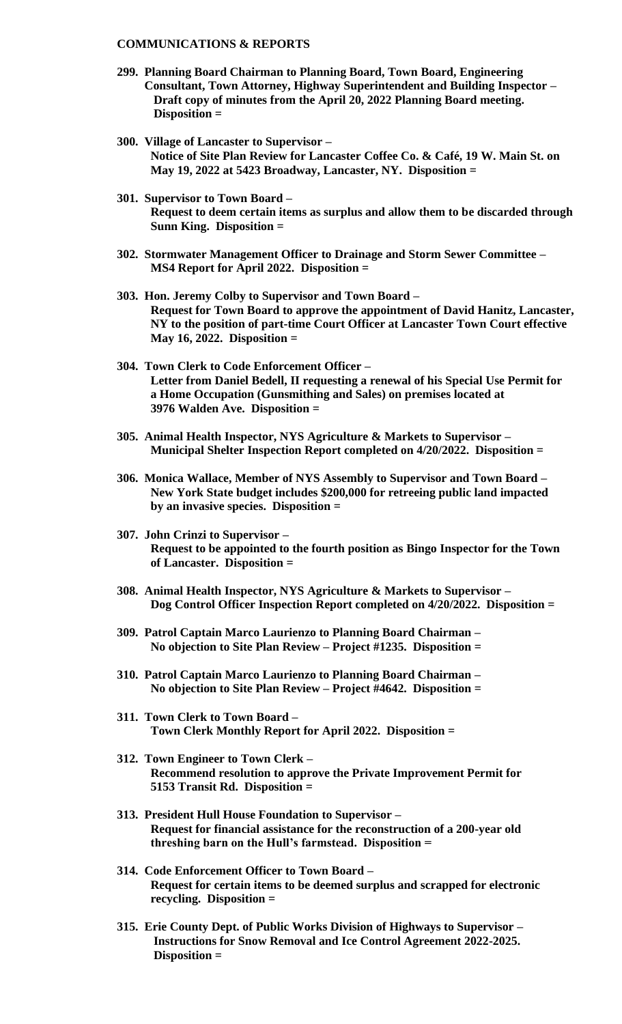### **COMMUNICATIONS & REPORTS**

- **299. Planning Board Chairman to Planning Board, Town Board, Engineering Consultant, Town Attorney, Highway Superintendent and Building Inspector – Draft copy of minutes from the April 20, 2022 Planning Board meeting. Disposition =**
- **300. Village of Lancaster to Supervisor – Notice of Site Plan Review for Lancaster Coffee Co. & Café, 19 W. Main St. on May 19, 2022 at 5423 Broadway, Lancaster, NY. Disposition =**
- **301. Supervisor to Town Board – Request to deem certain items as surplus and allow them to be discarded through Sunn King. Disposition =**
- **302. Stormwater Management Officer to Drainage and Storm Sewer Committee – MS4 Report for April 2022. Disposition =**
- **303. Hon. Jeremy Colby to Supervisor and Town Board – Request for Town Board to approve the appointment of David Hanitz, Lancaster, NY to the position of part-time Court Officer at Lancaster Town Court effective May 16, 2022. Disposition =**
- **304. Town Clerk to Code Enforcement Officer – Letter from Daniel Bedell, II requesting a renewal of his Special Use Permit for a Home Occupation (Gunsmithing and Sales) on premises located at 3976 Walden Ave. Disposition =**
- **305. Animal Health Inspector, NYS Agriculture & Markets to Supervisor – Municipal Shelter Inspection Report completed on 4/20/2022. Disposition =**
- **306. Monica Wallace, Member of NYS Assembly to Supervisor and Town Board – New York State budget includes \$200,000 for retreeing public land impacted by an invasive species. Disposition =**
- **307. John Crinzi to Supervisor – Request to be appointed to the fourth position as Bingo Inspector for the Town of Lancaster. Disposition =**
- **308. Animal Health Inspector, NYS Agriculture & Markets to Supervisor – Dog Control Officer Inspection Report completed on 4/20/2022. Disposition =**
- **309. Patrol Captain Marco Laurienzo to Planning Board Chairman – No objection to Site Plan Review – Project #1235. Disposition =**
- **310. Patrol Captain Marco Laurienzo to Planning Board Chairman – No objection to Site Plan Review – Project #4642. Disposition =**
- **311. Town Clerk to Town Board – Town Clerk Monthly Report for April 2022. Disposition =**
- **312. Town Engineer to Town Clerk – Recommend resolution to approve the Private Improvement Permit for 5153 Transit Rd. Disposition =**
- **313. President Hull House Foundation to Supervisor – Request for financial assistance for the reconstruction of a 200-year old threshing barn on the Hull's farmstead. Disposition =**
- **314. Code Enforcement Officer to Town Board – Request for certain items to be deemed surplus and scrapped for electronic recycling. Disposition =**
- **315. Erie County Dept. of Public Works Division of Highways to Supervisor – Instructions for Snow Removal and Ice Control Agreement 2022-2025. Disposition =**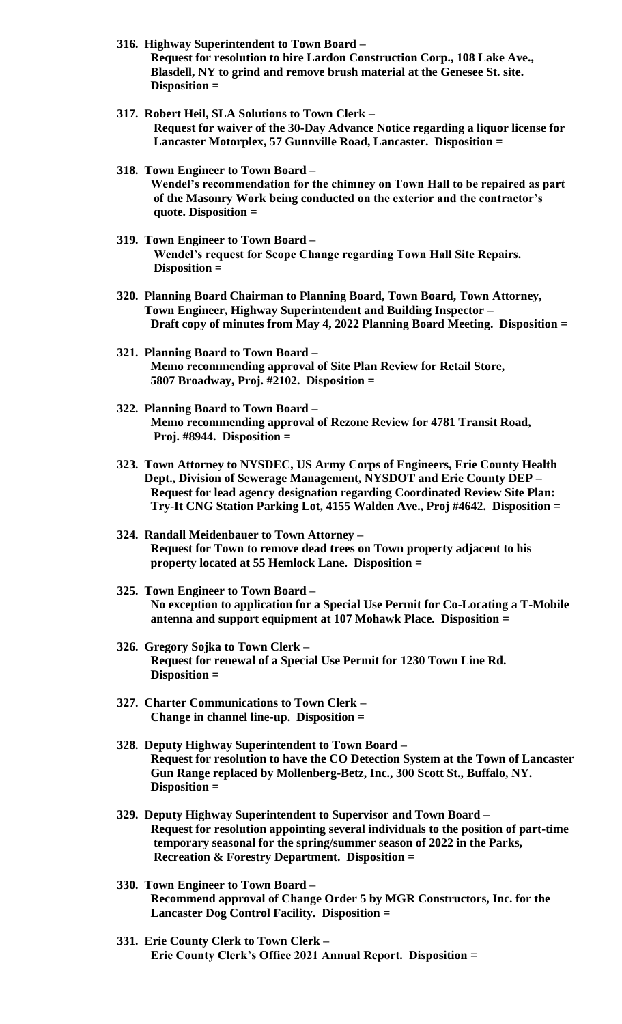- **316. Highway Superintendent to Town Board – Request for resolution to hire Lardon Construction Corp., 108 Lake Ave., Blasdell, NY to grind and remove brush material at the Genesee St. site. Disposition =**
- **317. Robert Heil, SLA Solutions to Town Clerk – Request for waiver of the 30-Day Advance Notice regarding a liquor license for Lancaster Motorplex, 57 Gunnville Road, Lancaster. Disposition =**
- **318. Town Engineer to Town Board – Wendel's recommendation for the chimney on Town Hall to be repaired as part of the Masonry Work being conducted on the exterior and the contractor's quote. Disposition =**
- **319. Town Engineer to Town Board – Wendel's request for Scope Change regarding Town Hall Site Repairs. Disposition =**
- **320. Planning Board Chairman to Planning Board, Town Board, Town Attorney, Town Engineer, Highway Superintendent and Building Inspector – Draft copy of minutes from May 4, 2022 Planning Board Meeting. Disposition =**
- **321. Planning Board to Town Board – Memo recommending approval of Site Plan Review for Retail Store, 5807 Broadway, Proj. #2102. Disposition =**
- **322. Planning Board to Town Board – Memo recommending approval of Rezone Review for 4781 Transit Road, Proj. #8944. Disposition =**
- **323. Town Attorney to NYSDEC, US Army Corps of Engineers, Erie County Health Dept., Division of Sewerage Management, NYSDOT and Erie County DEP – Request for lead agency designation regarding Coordinated Review Site Plan: Try-It CNG Station Parking Lot, 4155 Walden Ave., Proj #4642. Disposition =**
- **324. Randall Meidenbauer to Town Attorney – Request for Town to remove dead trees on Town property adjacent to his property located at 55 Hemlock Lane. Disposition =**
- **325. Town Engineer to Town Board – No exception to application for a Special Use Permit for Co-Locating a T-Mobile antenna and support equipment at 107 Mohawk Place. Disposition =**
- **326. Gregory Sojka to Town Clerk – Request for renewal of a Special Use Permit for 1230 Town Line Rd. Disposition =**
- **327. Charter Communications to Town Clerk – Change in channel line-up. Disposition =**
- **328. Deputy Highway Superintendent to Town Board – Request for resolution to have the CO Detection System at the Town of Lancaster Gun Range replaced by Mollenberg-Betz, Inc., 300 Scott St., Buffalo, NY. Disposition =**
- **329. Deputy Highway Superintendent to Supervisor and Town Board – Request for resolution appointing several individuals to the position of part-time temporary seasonal for the spring/summer season of 2022 in the Parks, Recreation & Forestry Department. Disposition =**
- **330. Town Engineer to Town Board – Recommend approval of Change Order 5 by MGR Constructors, Inc. for the Lancaster Dog Control Facility. Disposition =**
- **331. Erie County Clerk to Town Clerk – Erie County Clerk's Office 2021 Annual Report. Disposition =**